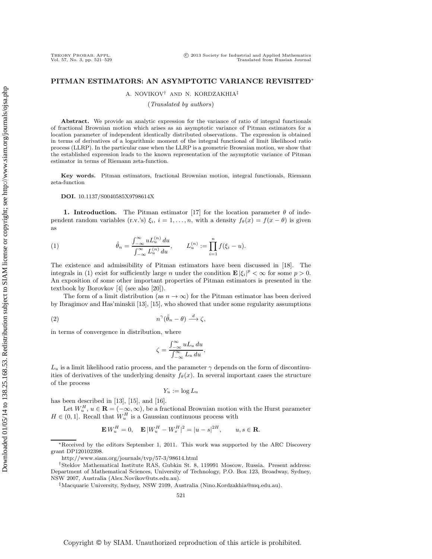# **PITMAN ESTIMATORS: AN ASYMPTOTIC VARIANCE REVISITED**∗

A. NOVIKOV† AND N. KORDZAKHIA‡

(Translated by authors)

Abstract. We provide an analytic expression for the variance of ratio of integral functionals of fractional Brownian motion which arises as an asymptotic variance of Pitman estimators for a location parameter of independent identically distributed observations. The expression is obtained in terms of derivatives of a logarithmic moment of the integral functional of limit likelihood ratio process (LLRP). In the particular case when the LLRP is a geometric Brownian motion, we show that the established expression leads to the known representation of the asymptotic variance of Pitman estimator in terms of Riemann zeta-function.

**Key words.** Pitman estimators, fractional Brownian motion, integral functionals, Riemann zeta-function

**DOI.** 10.1137/S0040585X9798614X

**1. Introduction.** The Pitman estimator [17] for the location parameter  $\theta$  of independent random variables (r.v.'s)  $\xi_i$ ,  $i = 1, \ldots, n$ , with a density  $f_\theta(x) = f(x - \theta)$  is given as

(1) 
$$
\hat{\theta}_n = \frac{\int_{-\infty}^{\infty} u L_u^{(n)} du}{\int_{-\infty}^{\infty} L_u^{(n)} du}, \qquad L_u^{(n)} := \prod_{i=1}^n f(\xi_i - u).
$$

The existence and admissibility of Pitman estimators have been discussed in [18]. The integrals in (1) exist for sufficiently large *n* under the condition  $\mathbf{E} |\xi_i|^p < \infty$  for some  $p > 0$ . An exposition of some other important properties of Pitman estimators is presented in the textbook by Borovkov [4] (see also [20]).

The form of a limit distribution (as  $n \to \infty$ ) for the Pitman estimator has been derived by Ibragimov and Has'minskii [13], [15], who showed that under some regularity assumptions

$$
(2) \t\t\t n^{\gamma}(\hat{\theta}_n - \theta) \stackrel{d}{\longrightarrow} \zeta,
$$

in terms of convergence in distribution, where

$$
\zeta = \frac{\int_{-\infty}^{\infty} u L_u du}{\int_{-\infty}^{\infty} L_u du},
$$

 $L_u$  is a limit likelihood ratio process, and the parameter  $\gamma$  depends on the form of discontinuities of derivatives of the underlying density  $f_{\theta}(x)$ . In several important cases the structure of the process

$$
Y_u := \log L_u
$$

has been described in [13], [15], and [16].

Let  $W_u^H$ ,  $u \in \mathbf{R} = (-\infty, \infty)$ , be a fractional Brownian motion with the Hurst parameter  $H \in (0, 1]$ . Recall that  $W_u^H$  is a Gaussian continuous process with

$$
\mathbf{E} W_u^H = 0, \quad \mathbf{E} |W_u^H - W_s^H|^2 = |u - s|^{2H}, \qquad u, s \in \mathbf{R}.
$$

∗Received by the editors September 1, 2011. This work was supported by the ARC Discovery grant DP120102398.

http://www.siam.org/journals/tvp/57-3/98614.html

†Steklov Mathematical Institute RAS, Gubkin St. 8, 119991 Moscow, Russia. Present address: Department of Mathematical Sciences, University of Technology, P.O. Box 123, Broadway, Sydney, NSW 2007, Australia (Alex.Novikov@uts.edu.au).

‡Macquarie University, Sydney, NSW 2109, Australia (Nino.Kordzakhia@mq.edu.au).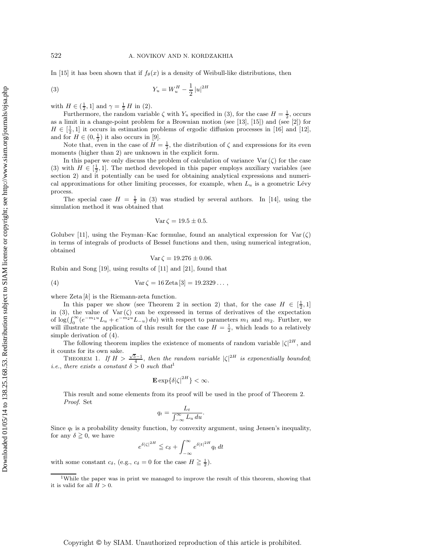In [15] it has been shown that if  $f_{\theta}(x)$  is a density of Weibull-like distributions, then

(3) 
$$
Y_u = W_u^H - \frac{1}{2} |u|^{2H}
$$

with  $H \in (\frac{1}{2}, 1]$  and  $\gamma = \frac{1}{2} H$  in (2).

Furthermore, the random variable  $\zeta$  with  $Y_u$  specified in (3), for the case  $H = \frac{1}{2}$ , occurs as a limit in a change-point problem for a Brownian motion (see [13], [15]) and (see [2]) for  $H \in [\frac{1}{2}, 1]$  it occurs in estimation problems of ergodic diffusion processes in [16] and [12], and for  $H \in (0, \frac{1}{2})$  it also occurs in [9].

Note that, even in the case of  $H = \frac{1}{2}$ , the distribution of  $\zeta$  and expressions for its even moments (higher than 2) are unknown in the explicit form.

In this paper we only discuss the problem of calculation of variance  $\text{Var}(\zeta)$  for the case (3) with  $H \in \left[\frac{1}{2}, 1\right]$ . The method developed in this paper employs auxiliary variables (see section 2) and it potentially can be used for obtaining analytical expressions and numerical approximations for other limiting processes, for example, when  $L_u$  is a geometric Lévy process.

The special case  $H = \frac{1}{2}$  in (3) was studied by several authors. In [14], using the simulation method it was obtained that

$$
\text{Var}\,\zeta = 19.5 \pm 0.5.
$$

Golubev [11], using the Feyman–Kac formulae, found an analytical expression for  $\text{Var}(\zeta)$ in terms of integrals of products of Bessel functions and then, using numerical integration, obtained

$$
Var \zeta = 19.276 \pm 0.06.
$$

Rubin and Song [19], using results of [11] and [21], found that

(4) 
$$
Var \zeta = 16 \, \text{Zeta} \, [3] = 19.2329 \dots,
$$

where  $\text{Zeta}[k]$  is the Riemann-zeta function.

In this paper we show (see Theorem 2 in section 2) that, for the case  $H \in \left[\frac{1}{2}, 1\right]$ in (3), the value of  $\text{Var}(\zeta)$  can be expressed in terms of derivatives of the expectation of  $\log(\int_0^\infty (e^{-m_1u}L_u + e^{-m_2u}L_{-u}) du)$  with respect to parameters  $m_1$  and  $m_2$ . Further, we will illustrate the application of this result for the case  $H = \frac{1}{2}$ , which leads to a relatively simple derivation of (4).

The following theorem implies the existence of moments of random variable  $|\zeta|^{2H}$ , and it counts for its own sake.

THEOREM 1. If  $H > \frac{\sqrt{5}-1}{4}$ , then the random variable  $|\zeta|^{2H}$  is exponentially bounded; *i.e.*, there exists a constant  $\delta > 0$  such that<sup>1</sup>

$$
\mathbf{E} \exp\{\delta |\zeta|^{2H}\} < \infty.
$$

This result and some elements from its proof will be used in the proof of Theorem 2. Proof. Set

$$
q_t = \frac{L_t}{\int_{-\infty}^{\infty} L_u \, du}.
$$

Since  $q_t$  is a probability density function, by convexity argument, using Jensen's inequality, for any  $\delta \geq 0$ , we have

$$
e^{\delta|\zeta|^{2H}} \leqq c_{\delta} + \int_{-\infty}^{\infty} e^{\delta|t|^{2H}} q_t dt
$$

with some constant  $c_{\delta}$ , (e.g.,  $c_{\delta} = 0$  for the case  $H \geq \frac{1}{2}$ ).

<sup>&</sup>lt;sup>1</sup>While the paper was in print we managed to improve the result of this theorem, showing that it is valid for all  $H > 0$ .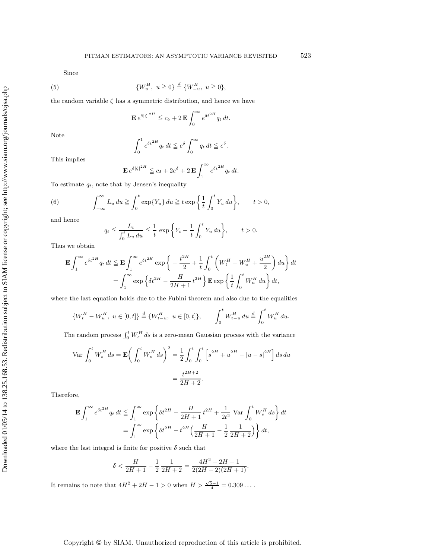Since

(5) 
$$
\{W_u^H, u \ge 0\} \stackrel{d}{=} \{W_{-u}^H, u \ge 0\},
$$

the random variable  $\zeta$  has a symmetric distribution, and hence we have

$$
\mathbf{E} e^{\delta|\zeta|^{2H}} \leqq c_{\delta} + 2 \mathbf{E} \int_0^{\infty} e^{\delta t^{2H}} q_t dt.
$$

Note

$$
\int_0^1 e^{\delta t^{2H}} q_t dt \leqq e^{\delta} \int_0^\infty q_t dt \leqq e^{\delta}.
$$

This implies

$$
\mathbf{E} e^{\delta|\zeta|^{2H}} \leqq c_{\delta} + 2e^{\delta} + 2 \mathbf{E} \int_{1}^{\infty} e^{\delta t^{2H}} q_t dt.
$$

To estimate  $q_t$ , note that by Jensen's inequality

(6) 
$$
\int_{-\infty}^{\infty} L_u du \geqq \int_0^t \exp\{Y_u\} du \geqq t \exp\left\{\frac{1}{t} \int_0^t Y_u du\right\}, \qquad t > 0,
$$

and hence

$$
q_t \le \frac{L_t}{\int_0^t L_u \, du} \le \frac{1}{t} \, \exp\bigg\{ Y_t - \frac{1}{t} \int_0^t Y_u \, du \bigg\}, \qquad t > 0.
$$

Thus we obtain

$$
\mathbf{E} \int_{1}^{\infty} e^{\delta t^{2H}} q_t dt \le \mathbf{E} \int_{1}^{\infty} e^{\delta t^{2H}} \exp \left\{ -\frac{t^{2H}}{2} + \frac{1}{t} \int_{0}^{t} \left( W_t^H - W_u^H + \frac{u^{2H}}{2} \right) du \right\} dt
$$

$$
= \int_{1}^{\infty} \exp \left\{ \delta t^{2H} - \frac{H}{2H + 1} t^{2H} \right\} \mathbf{E} \exp \left\{ \frac{1}{t} \int_{0}^{t} W_u^H du \right\} dt,
$$

where the last equation holds due to the Fubini theorem and also due to the equalities

$$
\{W_t^H - W_u^H, \ u \in [0, t]\} \stackrel{d}{=} \{W_{t-u}^H, \ u \in [0, t]\}, \qquad \int_0^t W_{t-u}^H du \stackrel{d}{=} \int_0^t W_u^H du.
$$

The random process  $\int_0^t W_s^H ds$  is a zero-mean Gaussian process with the variance

$$
\text{Var} \int_0^t W_s^H ds = \mathbf{E} \bigg( \int_0^t W_s^H ds \bigg)^2 = \frac{1}{2} \int_0^t \int_0^t \left[ s^{2H} + u^{2H} - |u - s|^{2H} \right] ds du
$$

$$
= \frac{t^{2H+2}}{2H+2}.
$$

Therefore,

$$
\mathbf{E} \int_{1}^{\infty} e^{\delta t^{2H}} q_t dt \leq \int_{1}^{\infty} \exp \left\{ \delta t^{2H} - \frac{H}{2H+1} t^{2H} + \frac{1}{2t^2} \text{Var} \int_{0}^{t} W_s^H ds \right\} dt
$$
  
= 
$$
\int_{1}^{\infty} \exp \left\{ \delta t^{2H} - t^{2H} \left( \frac{H}{2H+1} - \frac{1}{2} \frac{1}{2H+2} \right) \right\} dt,
$$

where the last integral is finite for positive  $\delta$  such that

$$
\delta < \frac{H}{2H+1} - \frac{1}{2}\frac{1}{2H+2} = \frac{4H^2 + 2H - 1}{2(2H+2)(2H+1)}.
$$

It remains to note that  $4H^2 + 2H - 1 > 0$  when  $H > \frac{\sqrt{5}-1}{4} = 0.309...$ .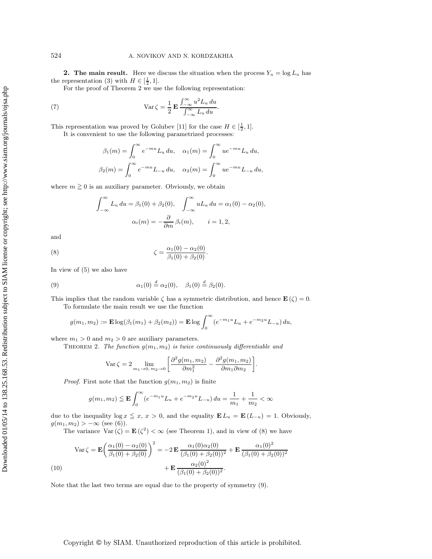**2.** The main result. Here we discuss the situation when the process  $Y_u = \log L_u$  has the representation (3) with  $H \in [\frac{1}{2}, 1].$ 

For the proof of Theorem 2 we use the following representation:

(7) 
$$
\operatorname{Var}\zeta = \frac{1}{2} \mathbf{E} \frac{\int_{-\infty}^{\infty} u^2 L_u du}{\int_{-\infty}^{\infty} L_u du}.
$$

This representation was proved by Golubev [11] for the case  $H \in [\frac{1}{2}, 1]$ . It is convenient to use the following parametrized processes:

$$
\beta_1(m) = \int_0^\infty e^{-mu} L_u du, \quad \alpha_1(m) = \int_0^\infty u e^{-mu} L_u du,
$$
  

$$
\beta_2(m) = \int_0^\infty e^{-mu} L_{-u} du, \quad \alpha_2(m) = \int_0^\infty u e^{-mu} L_{-u} du,
$$

where  $m \ge 0$  is an auxiliary parameter. Obviously, we obtain

$$
\int_{-\infty}^{\infty} L_u du = \beta_1(0) + \beta_2(0), \quad \int_{-\infty}^{\infty} u L_u du = \alpha_1(0) - \alpha_2(0),
$$

$$
\alpha_i(m) = -\frac{\partial}{\partial m} \beta_i(m), \qquad i = 1, 2,
$$

and

(8) 
$$
\zeta = \frac{\alpha_1(0) - \alpha_2(0)}{\beta_1(0) + \beta_2(0)}.
$$

In view of (5) we also have

(9) 
$$
\alpha_1(0) \stackrel{d}{=} \alpha_2(0), \quad \beta_1(0) \stackrel{d}{=} \beta_2(0).
$$

This implies that the random variable  $\zeta$  has a symmetric distribution, and hence  $\mathbf{E}(\zeta) = 0$ . To formulate the main result we use the function

$$
g(m_1, m_2) := \mathbf{E} \log(\beta_1(m_1) + \beta_2(m_2)) = \mathbf{E} \log \int_0^{\infty} (e^{-m_1 u} L_u + e^{-m_2 u} L_{-u}) du,
$$

where  $m_1 > 0$  and  $m_2 > 0$  are auxiliary parameters.

THEOREM 2. The function  $g(m_1, m_2)$  is twice continuously differentiable and

$$
\operatorname{Var}\zeta = 2 \lim_{m_1 \to 0, m_2 \to 0} \left[ \frac{\partial^2 g(m_1, m_2)}{\partial m_1^2} - \frac{\partial^2 g(m_1, m_2)}{\partial m_1 \partial m_2} \right]
$$

.

*Proof.* First note that the function  $q(m_1, m_2)$  is finite

$$
g(m_1, m_2) \le \mathbf{E} \int_0^{\infty} (e^{-m_1 u} L_u + e^{-m_2 u} L_{-u}) du = \frac{1}{m_1} + \frac{1}{m_2} < \infty
$$

due to the inequality  $\log x \leq x, x > 0$ , and the equality  $\mathbf{E} L_u = \mathbf{E} (L_{-u}) = 1$ . Obviously,  $g(m_1, m_2) > -\infty$  (see (6)).

The variance  $Var(\zeta) = \mathbf{E}(\zeta^2) < \infty$  (see Theorem 1), and in view of (8) we have

$$
\operatorname{Var}\zeta = \mathbf{E}\left(\frac{\alpha_1(0) - \alpha_2(0)}{\beta_1(0) + \beta_2(0)}\right)^2 = -2\,\mathbf{E}\,\frac{\alpha_1(0)\alpha_2(0)}{(\beta_1(0) + \beta_2(0))^2} + \mathbf{E}\,\frac{\alpha_1(0)^2}{(\beta_1(0) + \beta_2(0))^2} \n+ \mathbf{E}\,\frac{\alpha_2(0)^2}{(\beta_1(0) + \beta_2(0))^2}.
$$
\n(10)

Note that the last two terms are equal due to the property of symmetry (9).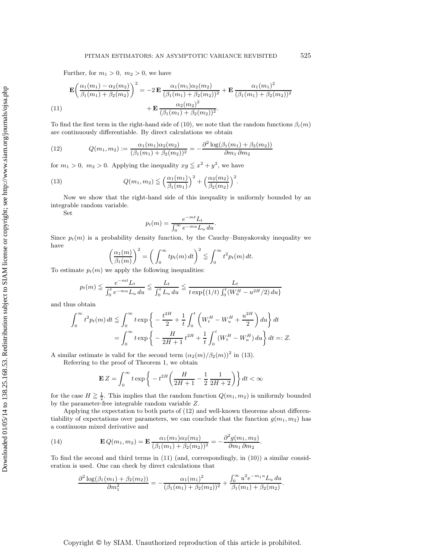Further, for  $m_1 > 0$ ,  $m_2 > 0$ , we have

$$
\mathbf{E}\left(\frac{\alpha_1(m_1) - \alpha_2(m_2)}{\beta_1(m_1) + \beta_2(m_2)}\right)^2 = -2\,\mathbf{E}\,\frac{\alpha_1(m_1)\alpha_2(m_2)}{(\beta_1(m_1) + \beta_2(m_2))^2} + \mathbf{E}\,\frac{\alpha_1(m_1)^2}{(\beta_1(m_1) + \beta_2(m_2))^2} + \mathbf{E}\,\frac{\alpha_2(m_2)^2}{(\beta_1(m_1) + \beta_2(m_2))^2}.
$$
\n(11)

To find the first term in the right-hand side of (10), we note that the random functions  $\beta_i(m)$ are continuously differentiable. By direct calculations we obtain

(12) 
$$
Q(m_1, m_2) := \frac{\alpha_1(m_1)\alpha_2(m_2)}{(\beta_1(m_1) + \beta_2(m_2))^2} = -\frac{\partial^2 \log(\beta_1(m_1) + \beta_2(m_2))}{\partial m_1 \partial m_2}
$$

for  $m_1 > 0$ ,  $m_2 > 0$ . Applying the inequality  $xy \leq x^2 + y^2$ , we have

(13) 
$$
Q(m_1, m_2) \leq \left(\frac{\alpha_1(m_1)}{\beta_1(m_1)}\right)^2 + \left(\frac{\alpha_2(m_2)}{\beta_2(m_2)}\right)^2.
$$

Now we show that the right-hand side of this inequality is uniformly bounded by an integrable random variable.

Set

$$
p_t(m) = \frac{e^{-mt}L_t}{\int_0^\infty e^{-mu}L_u du}.
$$

Since  $p_t(m)$  is a probability density function, by the Cauchy–Bunyakovsky inequality we have

$$
\left(\frac{\alpha_1(m)}{\beta_1(m)}\right)^2 = \left(\int_0^\infty tp_t(m)\,dt\right)^2 \leqq \int_0^\infty t^2 p_t(m)\,dt.
$$

To estimate  $p_t(m)$  we apply the following inequalities:

$$
p_t(m) \leq \frac{e^{-mt}L_t}{\int_0^t e^{-mu}L_u du} \leq \frac{L_t}{\int_0^t L_u du} \leq \frac{L_t}{t \exp\{(1/t)\int_0^t (W_u^H - u^{2H}/2) du\}}
$$

and thus obtain

$$
\int_0^{\infty} t^2 p_t(m) dt \leq \int_0^{\infty} t \exp \left\{ -\frac{t^{2H}}{2} + \frac{1}{t} \int_0^t \left( W_t^H - W_u^H + \frac{u^{2H}}{2} \right) du \right\} dt
$$
  
= 
$$
\int_0^{\infty} t \exp \left\{ -\frac{H}{2H+1} t^{2H} + \frac{1}{t} \int_0^t (W_t^H - W_u^H) du \right\} dt =: Z.
$$

A similar estimate is valid for the second term  $(\alpha_2(m)/\beta_2(m))^2$  in (13).

Referring to the proof of Theorem 1, we obtain

$$
\mathbf{E}\,Z = \int_0^\infty t \exp\bigg\{-t^{2H} \bigg(\frac{H}{2H+1} - \frac{1}{2}\frac{1}{2H+2}\bigg)\bigg\}\,dt < \infty
$$

for the case  $H \geq \frac{1}{2}$ . This implies that the random function  $Q(m_1, m_2)$  is uniformly bounded by the parameter-free integrable random variable Z.

Applying the expectation to both parts of (12) and well-known theorems about differentiability of expectations over parameters, we can conclude that the function  $g(m_1, m_2)$  has a continuous mixed derivative and

(14) 
$$
\mathbf{E} Q(m_1, m_2) = \mathbf{E} \frac{\alpha_1(m_1)\alpha_2(m_2)}{(\beta_1(m_1) + \beta_2(m_2))^2} = -\frac{\partial^2 g(m_1, m_2)}{\partial m_1 \partial m_2}.
$$

To find the second and third terms in (11) (and, correspondingly, in (10)) a similar consideration is used. One can check by direct calculations that

$$
\frac{\partial^2 \log(\beta_1(m_1) + \beta_2(m_2))}{\partial m_1^2} = -\frac{\alpha_1(m_1)^2}{(\beta_1(m_1) + \beta_2(m_2))^2} + \frac{\int_0^\infty u^2 e^{-m_1 u} L_u du}{\beta_1(m_1) + \beta_2(m_2)}.
$$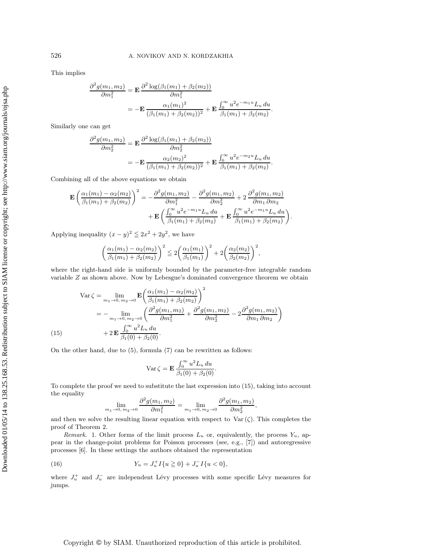This implies

$$
\frac{\partial^2 g(m_1, m_2)}{\partial m_1^2} = \mathbf{E} \frac{\partial^2 \log(\beta_1(m_1) + \beta_2(m_2))}{\partial m_1^2}
$$
  
=  $-\mathbf{E} \frac{\alpha_1(m_1)^2}{(\beta_1(m_1) + \beta_2(m_2))^2} + \mathbf{E} \frac{\int_0^\infty u^2 e^{-m_1 u} L_u du}{\beta_1(m_1) + \beta_2(m_2)}.$ 

Similarly one can get

$$
\frac{\partial^2 g(m_1, m_2)}{\partial m_2^2} = \mathbf{E} \frac{\partial^2 \log(\beta_1(m_1) + \beta_2(m_2))}{\partial m_2^2}
$$
  
=  $-\mathbf{E} \frac{\alpha_2(m_2)^2}{(\beta_1(m_1) + \beta_2(m_2))^2} + \mathbf{E} \frac{\int_0^\infty u^2 e^{-m_2 u} L_u du}{\beta_1(m_1) + \beta_2(m_2)}.$ 

Combining all of the above equations we obtain

$$
\mathbf{E}\left(\frac{\alpha_1(m_1) - \alpha_2(m_2)}{\beta_1(m_1) + \beta_2(m_2)}\right)^2 = -\frac{\partial^2 g(m_1, m_2)}{\partial m_1^2} - \frac{\partial^2 g(m_1, m_2)}{\partial m_2^2} + 2\frac{\partial^2 g(m_1, m_2)}{\partial m_1 \partial m_2} + \mathbf{E}\left(\frac{\int_0^\infty u^2 e^{-m_1 u} L_u du}{\beta_1(m_1) + \beta_2(m_2)} + \mathbf{E}\frac{\int_0^\infty u^2 e^{-m_1 u} L_u du}{\beta_1(m_1) + \beta_2(m_2)}\right).
$$

Applying inequality  $(x - y)^2 \leq 2x^2 + 2y^2$ , we have

$$
\left(\frac{\alpha_1(m_1) - \alpha_2(m_2)}{\beta_1(m_1) + \beta_2(m_2)}\right)^2 \leq 2\left(\frac{\alpha_1(m_1)}{\beta_1(m_1)}\right)^2 + 2\left(\frac{\alpha_2(m_2)}{\beta_2(m_2)}\right)^2,
$$

where the right-hand side is uniformly bounded by the parameter-free integrable random variable Z as shown above. Now by Lebesgue's dominated convergence theorem we obtain

$$
\begin{split} \n\text{Var}\,\zeta &= \lim_{m_1 \to 0, \, m_2 \to 0} \mathbf{E} \bigg( \frac{\alpha_1(m_1) - \alpha_2(m_2)}{\beta_1(m_1) + \beta_2(m_2)} \bigg)^2 \\ \n&= -\lim_{m_1 \to 0, \, m_2 \to 0} \bigg( \frac{\partial^2 g(m_1, m_2)}{\partial m_1^2} + \frac{\partial^2 g(m_1, m_2)}{\partial m_2^2} - 2 \frac{\partial^2 g(m_1, m_2)}{\partial m_1 \partial m_2} \bigg) \\ \n\text{(15)} \qquad &+ 2 \mathbf{E} \frac{\int_0^\infty u^2 L_u \, du}{\beta_1(0) + \beta_2(0)}. \n\end{split}
$$

On the other hand, due to (5), formula (7) can be rewritten as follows:

$$
\operatorname{Var}\zeta = \mathbf{E} \frac{\int_0^\infty u^2 L_u du}{\beta_1(0) + \beta_2(0)}.
$$

To complete the proof we need to substitute the last expression into (15), taking into account the equality

$$
\lim_{m_1 \to 0, m_2 \to 0} \frac{\partial^2 g(m_1, m_2)}{\partial m_1^2} = \lim_{m_1 \to 0, m_2 \to 0} \frac{\partial^2 g(m_1, m_2)}{\partial m_2^2},
$$

and then we solve the resulting linear equation with respect to  $\text{Var}(\zeta)$ . This completes the proof of Theorem 2.

Remark. 1. Other forms of the limit process  $L_u$  or, equivalently, the process  $Y_u$ , appear in the change-point problems for Poisson processes (see, e.g., [7]) and autoregressive processes [6]. In these settings the authors obtained the representation

(16) 
$$
Y_u = J_u^+ I\{u \ge 0\} + J_u^- I\{u < 0\},
$$

where  $J_u^+$  and  $J_u^-$  are independent Lévy processes with some specific Lévy measures for jumps.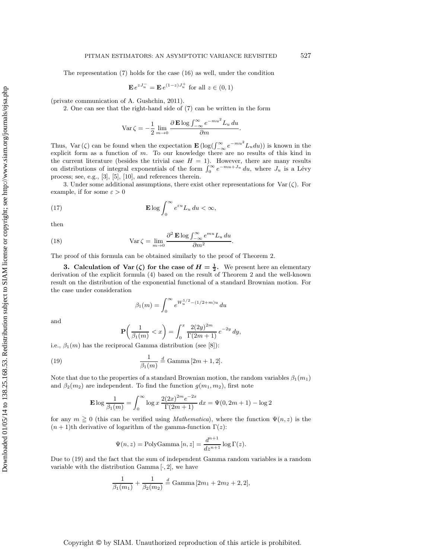The representation (7) holds for the case (16) as well, under the condition

$$
\mathbf{E} e^{zJ_u^-} = \mathbf{E} e^{(1-z)J_u^+} \text{ for all } z \in (0,1)
$$

(private communication of A. Gushchin, 2011).

2. One can see that the right-hand side of (7) can be written in the form

$$
\operatorname{Var}\zeta = -\frac{1}{2}\lim_{m\to 0} \frac{\partial \operatorname{\mathbf{E}}\log \int_{-\infty}^{\infty} e^{-mu^2} L_u du}{\partial m}.
$$

Thus, Var ( $\zeta$ ) can be found when the expectation  $\mathbf{E} \left( \log \left( \int_{-\infty}^{\infty} e^{-mu^2} L_u du \right) \right)$  is known in the explicit form as a function of m. To our knowledge there are no results of this kind in the current literature (besides the trivial case  $H = 1$ ). However, there are many results on distributions of integral exponentials of the form  $\int_0^\infty e^{-mu+J_u} du$ , where  $J_u$  is a Lévy process; see, e.g., [3], [5], [10], and references therein.

3. Under some additional assumptions, there exist other representations for Var $(\zeta)$ . For example, if for some  $\varepsilon > 0$ 

(17) 
$$
\mathbf{E} \log \int_0^\infty e^{\varepsilon u} L_u du < \infty,
$$

then

(18) 
$$
\operatorname{Var}\zeta = \lim_{m \to 0} \frac{\partial^2 \mathbf{E} \log \int_{-\infty}^{\infty} e^{mu} L_u du}{\partial m^2}.
$$

The proof of this formula can be obtained similarly to the proof of Theorem 2.

**3. Calculation of Var** ( $\zeta$ ) for the case of  $H = \frac{1}{2}$ . We present here an elementary derivation of the explicit formula (4) based on the result of Theorem 2 and the well-known result on the distribution of the exponential functional of a standard Brownian motion. For the case under consideration

$$
\beta_1(m) = \int_0^\infty e^{W_u^{1/2} - (1/2 + m)u} du
$$

and

$$
\mathbf{P}\left(\frac{1}{\beta_1(m)} < x\right) = \int_0^x \frac{2(2y)^{2m}}{\Gamma(2m+1)} e^{-2y} \, dy,
$$

i.e.,  $\beta_1(m)$  has the reciprocal Gamma distribution (see [8]):

(19) 
$$
\frac{1}{\beta_1(m)} \stackrel{d}{=} \text{Gamma}[2m+1,2].
$$

Note that due to the properties of a standard Brownian motion, the random variables  $\beta_1(m_1)$ and  $\beta_2(m_2)$  are independent. To find the function  $g(m_1, m_2)$ , first note

$$
\mathbf{E} \log \frac{1}{\beta_1(m)} = \int_0^\infty \log x \, \frac{2(2x)^{2m} e^{-2x}}{\Gamma(2m+1)} \, dx = \Psi(0, 2m+1) - \log 2
$$

for any  $m \ge 0$  (this can be verified using *Mathematica*), where the function  $\Psi(n, z)$  is the  $(n + 1)$ th derivative of logarithm of the gamma-function  $\Gamma(z)$ :

$$
\Psi(n,z) = \text{PolyGamma}\left[n,z\right] = \frac{d^{n+1}}{dz^{n+1}} \log \Gamma(z).
$$

Due to (19) and the fact that the sum of independent Gamma random variables is a random variable with the distribution Gamma  $[\cdot, 2]$ , we have

$$
\frac{1}{\beta_1(m_1)} + \frac{1}{\beta_2(m_2)} \stackrel{d}{=} \text{Gamma}[2m_1 + 2m_2 + 2, 2],
$$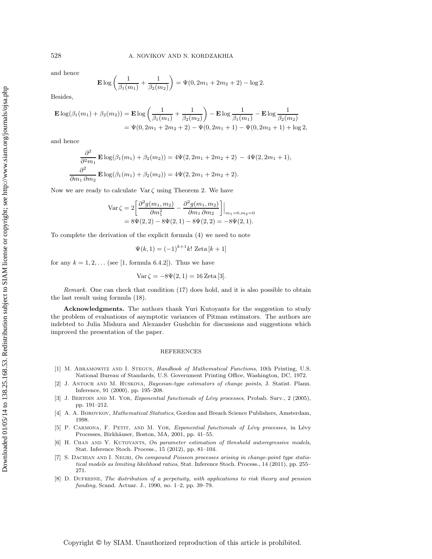and hence

$$
\mathbf{E} \log \left( \frac{1}{\beta_1(m_1)} + \frac{1}{\beta_2(m_2)} \right) = \Psi(0, 2m_1 + 2m_2 + 2) - \log 2.
$$

Besides,

$$
\mathbf{E} \log(\beta_1(m_1) + \beta_2(m_2)) = \mathbf{E} \log \left( \frac{1}{\beta_1(m_1)} + \frac{1}{\beta_2(m_2)} \right) - \mathbf{E} \log \frac{1}{\beta_1(m_1)} - \mathbf{E} \log \frac{1}{\beta_2(m_2)} \n= \Psi(0, 2m_1 + 2m_2 + 2) - \Psi(0, 2m_1 + 1) - \Psi(0, 2m_2 + 1) + \log 2,
$$

and hence

$$
\frac{\partial^2}{\partial^2 m_1} \mathbf{E} \log(\beta_1(m_1) + \beta_2(m_2)) = 4\Psi(2, 2m_1 + 2m_2 + 2) - 4\Psi(2, 2m_1 + 1),
$$
  

$$
\frac{\partial^2}{\partial m_1 \partial m_2} \mathbf{E} \log(\beta_1(m_1) + \beta_2(m_2)) = 4\Psi(2, 2m_1 + 2m_2 + 2).
$$

Now we are ready to calculate  $\text{Var}\,\zeta$  using Theorem 2. We have

$$
\begin{aligned} \text{Var}\,\zeta &= 2 \bigg[ \frac{\partial^2 g(m_1, m_2)}{\partial m_1^2} - \frac{\partial^2 g(m_1, m_2)}{\partial m_1 \partial m_2} \bigg] \bigg|_{m_1 = 0, m_2 = 0} \\ &= 8\Psi(2, 2) - 8\Psi(2, 1) - 8\Psi(2, 2) = -8\Psi(2, 1). \end{aligned}
$$

To complete the derivation of the explicit formula (4) we need to note

$$
\Psi(k,1) = (-1)^{k+1}k! \text{ Zeta } [k+1]
$$

for any  $k = 1, 2, \ldots$  (see [1, formula 6.4.2]). Thus we have

$$
Var \zeta = -8\Psi(2, 1) = 16 \, \text{Zeta} [3].
$$

Remark. One can check that condition (17) does hold, and it is also possible to obtain the last result using formula (18).

**Acknowledgments.** The authors thank Yuri Kutoyants for the suggestion to study the problem of evaluations of asymptotic variances of Pitman estimators. The authors are indebted to Julia Mishura and Alexander Gushchin for discussions and suggestions which improved the presentation of the paper.

#### REFERENCES

- [1] M. Abramowitz and I. Stegun, Handbook of Mathematical Functions, 10th Printing, U.S. National Bureau of Standards, U.S. Government Printing Office, Washington, DC, 1972.
- [2] J. ANTOCH AND M. HUSKOVA, Bayesian-type estimators of change points, J. Statist. Plann. Inference, 91 (2000), pp. 195–208.
- [3] J. BERTOIN AND M. YOR, Exponential functionals of Lévy processes, Probab. Surv., 2 (2005), pp. 191–212.
- [4] A. A. BOROVKOV, *Mathematical Statistics*, Gordon and Breach Science Publishers, Amsterdam, 1998.
- [5] P. CARMONA, F. PETIT, AND M. YOR, Exponential functionals of Lévy processes, in Lévy Processes, Birkhäuser, Boston, MA, 2001, pp. 41-55.
- [6] H. CHAN AND Y. KUTOYANTS, On parameter estimation of threshold autoregressive models, Stat. Inference Stoch. Process., 15 (2012), pp. 81–104.
- [7] S. DACHIAN AND I. NEGRI, On compound Poisson processes arising in change-point type statistical models as limiting likelihood ratios, Stat. Inference Stoch. Process., 14 (2011), pp. 255– 271.
- [8] D. DUFRESNE, The distribution of a perpetuity, with applications to risk theory and pension funding, Scand. Actuar. J., 1990, no. 1–2, pp. 39–79.